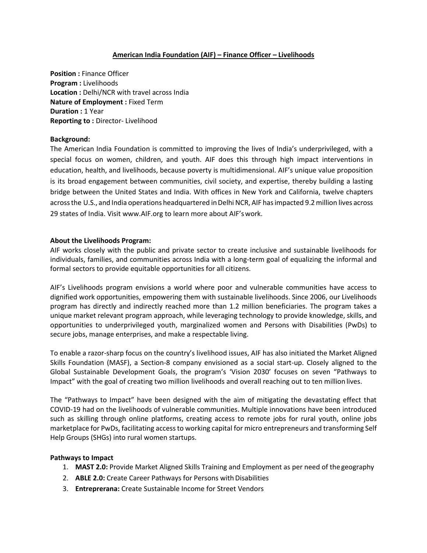## **American India Foundation (AIF) – Finance Officer – Livelihoods**

**Position :** Finance Officer **Program :** Livelihoods **Location :** Delhi/NCR with travel across India **Nature of Employment :** Fixed Term **Duration :** 1 Year **Reporting to :** Director- Livelihood

### **Background:**

The American India Foundation is committed to improving the lives of India's underprivileged, with a special focus on women, children, and youth. AIF does this through high impact interventions in education, health, and livelihoods, because poverty is multidimensional. AIF's unique value proposition is its broad engagement between communities, civil society, and expertise, thereby building a lasting bridge between the United States and India. With offices in New York and California, twelve chapters acrossthe U.S., and India operations headquartered inDelhi NCR, AIF hasimpacted 9.2million lives across 29 states of India. Visi[t www.AIF.org](http://www.aif.org/) to learn more about AIF'swork.

#### **About the Livelihoods Program:**

AIF works closely with the public and private sector to create inclusive and sustainable livelihoods for individuals, families, and communities across India with a long-term goal of equalizing the informal and formal sectors to provide equitable opportunities for all citizens.

AIF's Livelihoods program envisions a world where poor and vulnerable communities have access to dignified work opportunities, empowering them with sustainable livelihoods. Since 2006, our Livelihoods program has directly and indirectly reached more than 1.2 million beneficiaries. The program takes a unique market relevant program approach, while leveraging technology to provide knowledge, skills, and opportunities to underprivileged youth, marginalized women and Persons with Disabilities (PwDs) to secure jobs, manage enterprises, and make a respectable living.

To enable a razor-sharp focus on the country's livelihood issues, AIF has also initiated the Market Aligned Skills Foundation (MASF), a Section-8 company envisioned as a social start-up. Closely aligned to the Global Sustainable Development Goals, the program's 'Vision 2030' focuses on seven "Pathways to Impact" with the goal of creating two million livelihoods and overall reaching out to ten million lives.

The "Pathways to Impact" have been designed with the aim of mitigating the devastating effect that COVID-19 had on the livelihoods of vulnerable communities. Multiple innovations have been introduced such as skilling through online platforms, creating access to remote jobs for rural youth, online jobs marketplace for PwDs, facilitating accessto working capital for micro entrepreneurs and transforming Self Help Groups (SHGs) into rural women startups.

#### **Pathways to Impact**

- 1. **MAST 2.0:** Provide Market Aligned Skills Training and Employment as per need of thegeography
- 2. **ABLE 2.0:** Create Career Pathways for Persons with Disabilities
- 3. **Entreprerana:** Create Sustainable Income for Street Vendors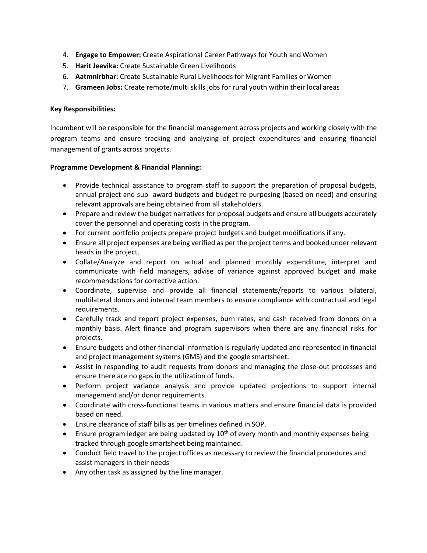- 4. **Engage to Empower:** Create Aspirational Career Pathways for Youth and Women
- 5. **Harit Jeevika:** Create Sustainable Green Livelihoods
- 6. **Aatmnirbhar:** Create Sustainable Rural Livelihoods for Migrant Families or Women
- 7. **Grameen Jobs:** Create remote/multi skills jobs for rural youth within their local areas

# **Key Responsibilities:**

Incumbent will be responsible for the financial management across projects and working closely with the program teams and ensure tracking and analyzing of project expenditures and ensuring financial management of grants across projects.

# **Programme Development & Financial Planning:**

- Provide technical assistance to program staff to support the preparation of proposal budgets, annual project and sub- award budgets and budget re-purposing (based on need) and ensuring relevant approvals are being obtained from all stakeholders.
- Prepare and review the budget narratives for proposal budgets and ensure all budgets accurately cover the personnel and operating costs in the program.
- For current portfolio projects prepare project budgets and budget modifications if any.
- Ensure all project expenses are being verified as per the project terms and booked under relevant heads in the project.
- Collate/Analyze and report on actual and planned monthly expenditure, interpret and communicate with field managers, advise of variance against approved budget and make recommendations for corrective action.
- Coordinate, supervise and provide all financial statements/reports to various bilateral, multilateral donors and internal team members to ensure compliance with contractual and legal requirements.
- Carefully track and report project expenses, burn rates, and cash received from donors on a monthly basis. Alert finance and program supervisors when there are any financial risks for projects.
- Ensure budgets and other financial information is regularly updated and represented in financial and project management systems (GMS) and the google smartsheet.
- Assist in responding to audit requests from donors and managing the close-out processes and ensure there are no gaps in the utilization of funds.
- Perform project variance analysis and provide updated projections to support internal management and/or donor requirements.
- Coordinate with cross-functional teams in various matters and ensure financial data is provided based on need.
- Ensure clearance of staff bills as per timelines defined in SOP.
- Ensure program ledger are being updated by  $10^{th}$  of every month and monthly expenses being tracked through google smartsheet being maintained.
- Conduct field travel to the project offices as necessary to review the financial procedures and assist managers in their needs
- Any other task as assigned by the line manager.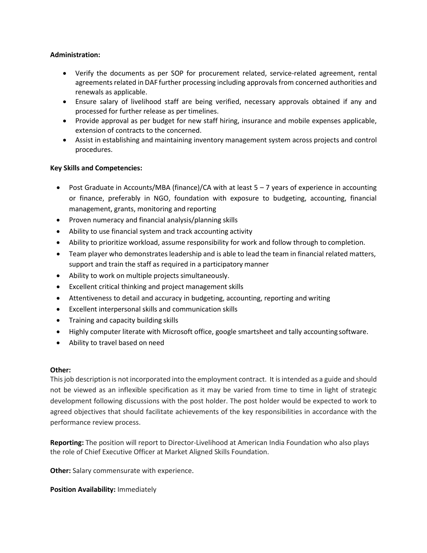## **Administration:**

- Verify the documents as per SOP for procurement related, service-related agreement, rental agreements related in DAF further processing including approvals from concerned authorities and renewals as applicable.
- Ensure salary of livelihood staff are being verified, necessary approvals obtained if any and processed for further release as per timelines.
- Provide approval as per budget for new staff hiring, insurance and mobile expenses applicable, extension of contracts to the concerned.
- Assist in establishing and maintaining inventory management system across projects and control procedures.

# **Key Skills and Competencies:**

- Post Graduate in Accounts/MBA (finance)/CA with at least 5 7 years of experience in accounting or finance, preferably in NGO, foundation with exposure to budgeting, accounting, financial management, grants, monitoring and reporting
- Proven numeracy and financial analysis/planning skills
- Ability to use financial system and track accounting activity
- Ability to prioritize workload, assume responsibility for work and follow through to completion.
- Team player who demonstrates leadership and is able to lead the team in financial related matters, support and train the staff as required in a participatory manner
- Ability to work on multiple projects simultaneously.
- Excellent critical thinking and project management skills
- Attentiveness to detail and accuracy in budgeting, accounting, reporting and writing
- Excellent interpersonal skills and communication skills
- Training and capacity building skills
- Highly computer literate with Microsoft office, google smartsheet and tally accounting software.
- Ability to travel based on need

## **Other:**

Thisjob description is not incorporated into the employment contract. It isintended as a guide and should not be viewed as an inflexible specification as it may be varied from time to time in light of strategic development following discussions with the post holder. The post holder would be expected to work to agreed objectives that should facilitate achievements of the key responsibilities in accordance with the performance review process.

**Reporting:** The position will report to Director-Livelihood at American India Foundation who also plays the role of Chief Executive Officer at Market Aligned Skills Foundation.

**Other:** Salary commensurate with experience.

**Position Availability:** Immediately